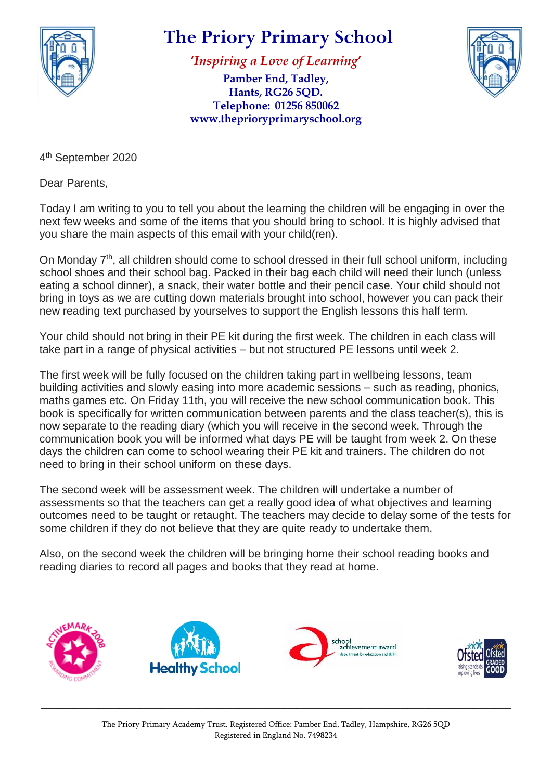

## **The Priory Primary School**

**'***Inspiring a Love of Learning***'**

**Pamber End, Tadley, Hants, RG26 5QD. Telephone: 01256 850062 www.theprioryprimaryschool.org**



4<sup>th</sup> September 2020

Dear Parents,

Today I am writing to you to tell you about the learning the children will be engaging in over the next few weeks and some of the items that you should bring to school. It is highly advised that you share the main aspects of this email with your child(ren).

On Monday 7<sup>th</sup>, all children should come to school dressed in their full school uniform, including school shoes and their school bag. Packed in their bag each child will need their lunch (unless eating a school dinner), a snack, their water bottle and their pencil case. Your child should not bring in toys as we are cutting down materials brought into school, however you can pack their new reading text purchased by yourselves to support the English lessons this half term.

Your child should not bring in their PE kit during the first week. The children in each class will take part in a range of physical activities – but not structured PE lessons until week 2.

The first week will be fully focused on the children taking part in wellbeing lessons, team building activities and slowly easing into more academic sessions – such as reading, phonics, maths games etc. On Friday 11th, you will receive the new school communication book. This book is specifically for written communication between parents and the class teacher(s), this is now separate to the reading diary (which you will receive in the second week. Through the communication book you will be informed what days PE will be taught from week 2. On these days the children can come to school wearing their PE kit and trainers. The children do not need to bring in their school uniform on these days.

The second week will be assessment week. The children will undertake a number of assessments so that the teachers can get a really good idea of what objectives and learning outcomes need to be taught or retaught. The teachers may decide to delay some of the tests for some children if they do not believe that they are quite ready to undertake them.

Also, on the second week the children will be bringing home their school reading books and reading diaries to record all pages and books that they read at home.



\_\_\_\_\_\_\_\_\_\_\_\_\_\_\_\_\_\_\_\_\_\_\_\_\_\_\_\_\_\_\_\_\_\_\_\_\_\_\_\_\_\_\_\_\_\_\_\_\_\_\_\_\_\_\_\_\_\_\_\_\_\_\_\_\_\_\_\_\_\_\_\_\_\_\_\_\_\_\_\_\_\_\_\_\_\_\_\_\_\_\_\_\_\_\_\_\_\_\_\_\_\_\_\_\_\_\_\_\_\_\_\_\_\_